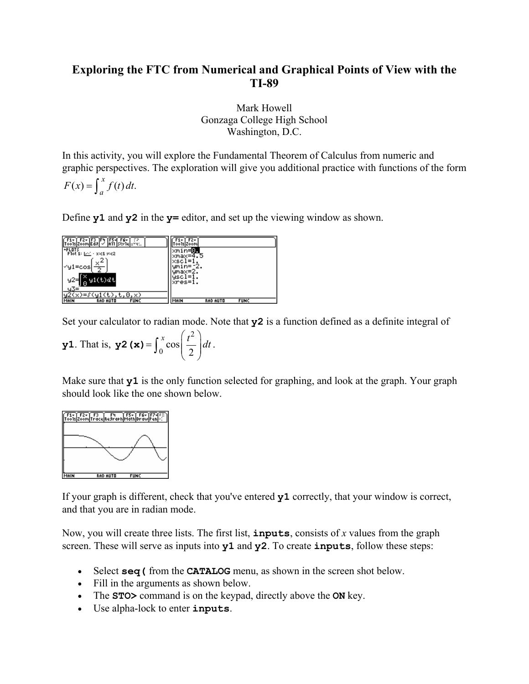# **Exploring the FTC from Numerical and Graphical Points of View with the TI-89**

Mark Howell Gonzaga College High School Washington, D.C.

In this activity, you will explore the Fundamental Theorem of Calculus from numeric and graphic perspectives. The exploration will give you additional practice with functions of the form

$$
F(x) = \int_{a}^{x} f(t) dt.
$$

Define **y1** and **y2** in the **y=** editor, and set up the viewing window as shown.

| or1e n∽≪…<br>PEDTS<br>Plot 1: [20] - x:c1 y:c2<br>2<br>×<br>l≺y1≡cos <br>y1(t)dt<br>ll 0<br>ч3=<br>t.0.x) | max=4<br>max=2.<br>xres=l. |
|-----------------------------------------------------------------------------------------------------------|----------------------------|
| <b>RAD AUTO</b>                                                                                           | MAIN                       |
| MAIN                                                                                                      | <b>RAD AUTO</b>            |
| <b>FUNC</b>                                                                                               | <b>FUNC</b>                |

Set your calculator to radian mode. Note that **y2** is a function defined as a definite integral of

**y1**. That is, **y2** (**x**) = 
$$
\int_0^x \cos\left(\frac{t^2}{2}\right) dt.
$$

Make sure that **y1** is the only function selected for graphing, and look at the graph. Your graph should look like the one shown below.



If your graph is different, check that you've entered **y1** correctly, that your window is correct, and that you are in radian mode.

Now, you will create three lists. The first list, **inputs**, consists of *x* values from the graph screen. These will serve as inputs into **y1** and **y2**. To create **inputs**, follow these steps:

- Select **seq** (from the **CATALOG** menu, as shown in the screen shot below.
- Fill in the arguments as shown below.
- The **STO>** command is on the keypad, directly above the **ON** key.
- Use alpha-lock to enter **inputs**.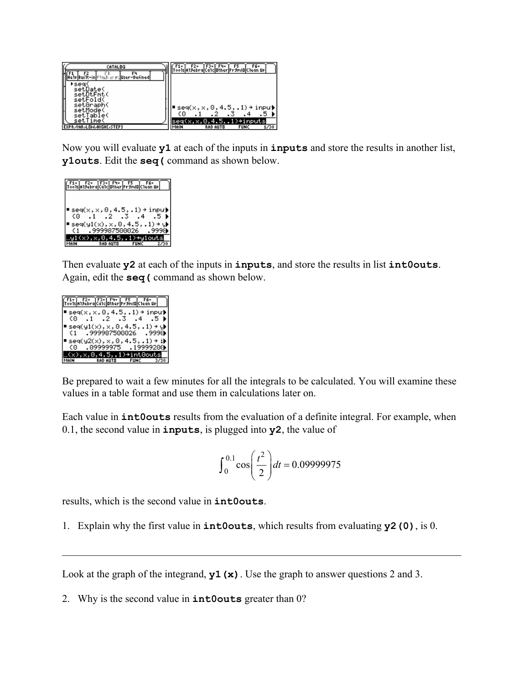| <b>CATALOG</b><br>Fч                 | F6+                                             |
|--------------------------------------|-------------------------------------------------|
| 1p Bui1t-in Shack at st User-Defined |                                                 |
| 'sea<br>setDate(                     |                                                 |
| setDtFmt(<br>setFold(                |                                                 |
| setGraph(<br>setMode(                | $\blacksquare$ seq(x,x,0,4.5,.1) → inpu) <br>60 |
| setTable(<br>setTime(                | seq(x,x,0,4.5,.1)→inputs                        |
| <b>EXPRIVARILOWIHIGHLISTEPI</b>      | 1/30<br>RAD AUTO<br><b>FUNC</b><br>MAIN         |

Now you will evaluate **y1** at each of the inputs in **inputs** and store the results in another list, **y1outs**. Edit the **seq(** command as shown below.

| F1+  F2+  F3+  F4+  F5   F6+<br>0015 A19ebra Ca1c Other Pr9mIO C1ean Up                                     |  |
|-------------------------------------------------------------------------------------------------------------|--|
| $\mathsf{I}\mathsf{seq}(x, x, 0, 4, 5, 1) \mathbin{\rightarrow} \mathsf{input}$<br>$(0 \t1 \t2 \t3 \t4 \t5$ |  |
| $seq(y1(x), x, 0, 4.5, .1)$ + y<br>.999987500026                                                            |  |
| <b>RAD AUTO</b>                                                                                             |  |

Then evaluate **y2** at each of the inputs in **inputs**, and store the results in list **int0outs**. Again, edit the **seq(** command as shown below.

|       | F1- F2- F3- F4- F5 F6-<br>Tools Alsebra Calculather FrsmiD Clean Up                                                                                                                                                                                                                          |                                   |     |
|-------|----------------------------------------------------------------------------------------------------------------------------------------------------------------------------------------------------------------------------------------------------------------------------------------------|-----------------------------------|-----|
| €Θ. – | $\bullet$ seq(x,x,0,4.5,.1) → inpu) <br>$.1$ $.2$ $.3$ $.4$                                                                                                                                                                                                                                  |                                   | . 5 |
|       | $\mathsf{I}\mathop{\mathsf{seq}}\nolimits(\mathop{\mathsf{yl}}\nolimits(\mathop{\mathsf{x}}\nolimits), \mathop{\mathsf{x}}\nolimits, \mathop{\mathsf{0}}\nolimits, \mathop{\mathsf{4.5}}\nolimits, \mathop{\mathsf{.1}}\nolimits) \mathop{\mathsf{I}}\nolimits \mathop{\mathsf{I}}\nolimits$ |                                   |     |
| €1. – | 999987500026. 9998.<br>$\mathsf{I}\mathsf{seq}(\mathsf{y2}(\mathsf{x}), \mathsf{x}, 0, 4.5, .1) \mathbin{\rightarrow} \mathsf{I}\mathsf{I}$                                                                                                                                                  |                                   |     |
| CO -  | .09999975 .19999200 )                                                                                                                                                                                                                                                                        |                                   |     |
|       | RAD AUTO <b>Andre</b>                                                                                                                                                                                                                                                                        | 4.51)→int0outs<br><b>FUNC 373</b> |     |

Be prepared to wait a few minutes for all the integrals to be calculated. You will examine these values in a table format and use them in calculations later on.

Each value in **int0outs** results from the evaluation of a definite integral. For example, when 0.1, the second value in **inputs**, is plugged into **y2**, the value of

$$
\int_0^{0.1} \cos\left(\frac{t^2}{2}\right) dt = 0.09999975
$$

results, which is the second value in **int0outs**.

1. Explain why the first value in **int0outs**, which results from evaluating **y2(0)**, is 0.

 $\mathcal{L}_\mathcal{L} = \{ \mathcal{L}_\mathcal{L} = \{ \mathcal{L}_\mathcal{L} = \{ \mathcal{L}_\mathcal{L} = \{ \mathcal{L}_\mathcal{L} = \{ \mathcal{L}_\mathcal{L} = \{ \mathcal{L}_\mathcal{L} = \{ \mathcal{L}_\mathcal{L} = \{ \mathcal{L}_\mathcal{L} = \{ \mathcal{L}_\mathcal{L} = \{ \mathcal{L}_\mathcal{L} = \{ \mathcal{L}_\mathcal{L} = \{ \mathcal{L}_\mathcal{L} = \{ \mathcal{L}_\mathcal{L} = \{ \mathcal{L}_\mathcal{$ 

Look at the graph of the integrand, **y1(x)**. Use the graph to answer questions 2 and 3.

2. Why is the second value in **int0outs** greater than 0?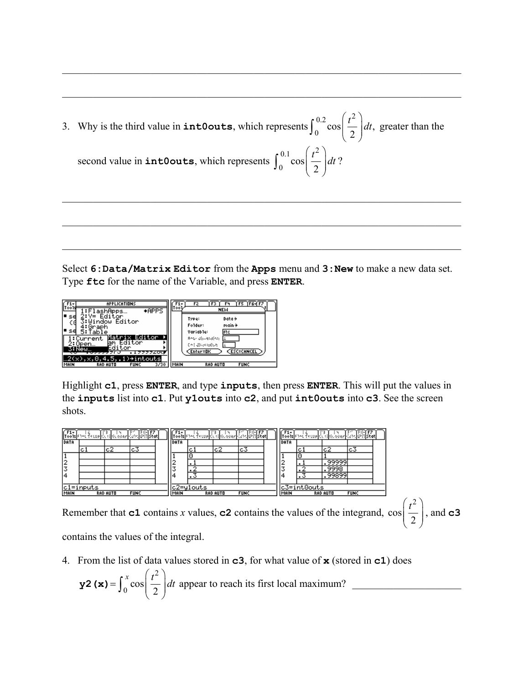3. Why is the third value in **int0outs**, which represents 0.2  $\int_0^2$  $\int_0^{0.2} \cos\left(\frac{t^2}{2}\right) dt$ , greater than the second value in **int0outs**, which represents 0.1  $\int_0^2$  $\int_{0}^{\infty}$ cos 2  $\int_0^{0.1} \cos\left(\frac{t^2}{2}\right) dt$ ?

 $\mathcal{L}_\mathcal{L} = \{ \mathcal{L}_\mathcal{L} = \{ \mathcal{L}_\mathcal{L} = \{ \mathcal{L}_\mathcal{L} = \{ \mathcal{L}_\mathcal{L} = \{ \mathcal{L}_\mathcal{L} = \{ \mathcal{L}_\mathcal{L} = \{ \mathcal{L}_\mathcal{L} = \{ \mathcal{L}_\mathcal{L} = \{ \mathcal{L}_\mathcal{L} = \{ \mathcal{L}_\mathcal{L} = \{ \mathcal{L}_\mathcal{L} = \{ \mathcal{L}_\mathcal{L} = \{ \mathcal{L}_\mathcal{L} = \{ \mathcal{L}_\mathcal{$ 

 $\_$  , and the set of the set of the set of the set of the set of the set of the set of the set of the set of the set of the set of the set of the set of the set of the set of the set of the set of the set of the set of th

 $\_$  , and the set of the set of the set of the set of the set of the set of the set of the set of the set of the set of the set of the set of the set of the set of the set of the set of the set of the set of the set of th

 $\mathcal{L}_\mathcal{L} = \{ \mathcal{L}_\mathcal{L} = \{ \mathcal{L}_\mathcal{L} = \{ \mathcal{L}_\mathcal{L} = \{ \mathcal{L}_\mathcal{L} = \{ \mathcal{L}_\mathcal{L} = \{ \mathcal{L}_\mathcal{L} = \{ \mathcal{L}_\mathcal{L} = \{ \mathcal{L}_\mathcal{L} = \{ \mathcal{L}_\mathcal{L} = \{ \mathcal{L}_\mathcal{L} = \{ \mathcal{L}_\mathcal{L} = \{ \mathcal{L}_\mathcal{L} = \{ \mathcal{L}_\mathcal{L} = \{ \mathcal{L}_\mathcal{$ 

 $\mathcal{L}_\mathcal{L} = \{ \mathcal{L}_\mathcal{L} = \{ \mathcal{L}_\mathcal{L} = \{ \mathcal{L}_\mathcal{L} = \{ \mathcal{L}_\mathcal{L} = \{ \mathcal{L}_\mathcal{L} = \{ \mathcal{L}_\mathcal{L} = \{ \mathcal{L}_\mathcal{L} = \{ \mathcal{L}_\mathcal{L} = \{ \mathcal{L}_\mathcal{L} = \{ \mathcal{L}_\mathcal{L} = \{ \mathcal{L}_\mathcal{L} = \{ \mathcal{L}_\mathcal{L} = \{ \mathcal{L}_\mathcal{L} = \{ \mathcal{L}_\mathcal{$ 

Select **6:Data/Matrix Editor** from the **Apps** menu and **3:New** to make a new data set. Type **ftc** for the name of the Variable, and press **ENTER**.



Highlight **c1**, press **ENTER**, and type **inputs**, then press **ENTER**. This will put the values in the **inputs** list into **c1**. Put **y1outs** into **c2**, and put **int0outs** into **c3**. See the screen shots.

| $\left  \mathbf{r}_{\text{oo}}^{r,1} \right $ |               |                                                                                                     | isjabov skupajú, cijel obec júpniežšijstati |  |      |     |           | Too1s Phot fotop Ct (  Gt aver Conc  OSE  Stat |             |      |    |                 | Tools Phot focus title Helovan tune QPII Stat |  |
|-----------------------------------------------|---------------|-----------------------------------------------------------------------------------------------------|---------------------------------------------|--|------|-----|-----------|------------------------------------------------|-------------|------|----|-----------------|-----------------------------------------------|--|
| DATA                                          |               |                                                                                                     |                                             |  | DATA |     |           |                                                |             | DATA |    |                 |                                               |  |
|                                               | c)            | c2                                                                                                  | cЗ                                          |  |      | c)  | c2        | cЗ                                             |             |      | υ. | c2              | Ic3                                           |  |
|                                               |               |                                                                                                     |                                             |  |      |     |           |                                                |             |      |    |                 |                                               |  |
| 12                                            |               |                                                                                                     |                                             |  | 2    |     |           |                                                |             |      |    | 99999           |                                               |  |
| IJ                                            |               |                                                                                                     |                                             |  | ⇁    |     |           |                                                |             |      |    | 9998            |                                               |  |
|                                               |               |                                                                                                     |                                             |  |      | . . |           |                                                |             |      |    | 99899           |                                               |  |
|                                               |               |                                                                                                     |                                             |  |      |     |           |                                                |             |      |    |                 |                                               |  |
|                                               | $c1 =$ inputs |                                                                                                     |                                             |  |      |     | c2=yiouts |                                                |             |      |    | $c3 = int0outs$ |                                               |  |
| MAIN                                          |               | MAIN<br><b>RAD AUTO</b><br><b>FUNC</b><br>MAIN<br><b>RAD AUTO</b><br><b>FUNC</b><br><b>RAD AUTO</b> |                                             |  |      |     |           |                                                | <b>FUNC</b> |      |    |                 |                                               |  |

Remember that **c1** contains *x* values, **c2** contains the values of the integrand, 2 cos 2  $\left( t^2 \right)$  $\left(\frac{i}{2}\right)$ , and **c3** 

contains the values of the integral.

4. From the list of data values stored in **c3**, for what value of **x** (stored in **c1**) does

$$
\mathbf{y2 (x)} = \int_0^x \cos\left(\frac{t^2}{2}\right) dt
$$
 appear to reach its first local maximum?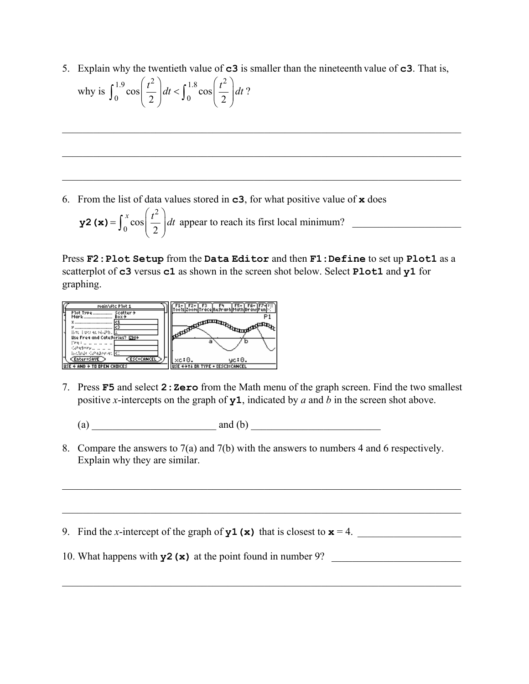5. Explain why the twentieth value of **c3** is smaller than the nineteenth value of **c3**. That is, why is 1.9  $(t^2)$ ,  $t^{1.8}$   $(t^2)$  $\int_0^{\infty} \cos \left( \frac{t}{2} \right) dt < \int_0^{\infty} \cos \left( \frac{t}{2} \right) dt$ 2 2  $\left(\frac{t^2}{2}\right)dt < \int_0^{1.8} \cos\left(\frac{t^2}{2}\right)dt$  $\int_0^{1.5} \cos \left( \frac{t}{2} \right) dt < \int_0^{1.6} \cos \left( \frac{t}{2} \right) dt$ ?

 $\_$  , and the set of the set of the set of the set of the set of the set of the set of the set of the set of the set of the set of the set of the set of the set of the set of the set of the set of the set of the set of th

 $\_$  , and the set of the set of the set of the set of the set of the set of the set of the set of the set of the set of the set of the set of the set of the set of the set of the set of the set of the set of the set of th

 $\mathcal{L}_\mathcal{L} = \{ \mathcal{L}_\mathcal{L} = \{ \mathcal{L}_\mathcal{L} = \{ \mathcal{L}_\mathcal{L} = \{ \mathcal{L}_\mathcal{L} = \{ \mathcal{L}_\mathcal{L} = \{ \mathcal{L}_\mathcal{L} = \{ \mathcal{L}_\mathcal{L} = \{ \mathcal{L}_\mathcal{L} = \{ \mathcal{L}_\mathcal{L} = \{ \mathcal{L}_\mathcal{L} = \{ \mathcal{L}_\mathcal{L} = \{ \mathcal{L}_\mathcal{L} = \{ \mathcal{L}_\mathcal{L} = \{ \mathcal{L}_\mathcal{$ 

6. From the list of data values stored in **c3**, for what positive value of **x** does

$$
\mathbf{y2} \text{ (x)} = \int_0^x \cos\left(\frac{t^2}{2}\right) dt \text{ appear to reach its first local minimum?}
$$

Press **F2:Plot Setup** from the **Data Editor** and then **F1:Define** to set up **Plot1** as a scatterplot of **c3** versus **c1** as shown in the screen shot below. Select **Plot1** and **y1** for graphing.



- 7. Press **F5** and select **2:Zero** from the Math menu of the graph screen. Find the two smallest positive *x*-intercepts on the graph of **y1**, indicated by *a* and *b* in the screen shot above.
	- (a)  $\qquad \qquad \text{and (b)}$
- 8. Compare the answers to 7(a) and 7(b) with the answers to numbers 4 and 6 respectively. Explain why they are similar.

 $\mathcal{L}_\mathcal{L} = \mathcal{L}_\mathcal{L} = \mathcal{L}_\mathcal{L} = \mathcal{L}_\mathcal{L} = \mathcal{L}_\mathcal{L} = \mathcal{L}_\mathcal{L} = \mathcal{L}_\mathcal{L} = \mathcal{L}_\mathcal{L} = \mathcal{L}_\mathcal{L} = \mathcal{L}_\mathcal{L} = \mathcal{L}_\mathcal{L} = \mathcal{L}_\mathcal{L} = \mathcal{L}_\mathcal{L} = \mathcal{L}_\mathcal{L} = \mathcal{L}_\mathcal{L} = \mathcal{L}_\mathcal{L} = \mathcal{L}_\mathcal{L}$ 

 $\mathcal{L}_\mathcal{L} = \mathcal{L}_\mathcal{L} = \mathcal{L}_\mathcal{L} = \mathcal{L}_\mathcal{L} = \mathcal{L}_\mathcal{L} = \mathcal{L}_\mathcal{L} = \mathcal{L}_\mathcal{L} = \mathcal{L}_\mathcal{L} = \mathcal{L}_\mathcal{L} = \mathcal{L}_\mathcal{L} = \mathcal{L}_\mathcal{L} = \mathcal{L}_\mathcal{L} = \mathcal{L}_\mathcal{L} = \mathcal{L}_\mathcal{L} = \mathcal{L}_\mathcal{L} = \mathcal{L}_\mathcal{L} = \mathcal{L}_\mathcal{L}$ 

 $\mathcal{L}_\mathcal{L} = \mathcal{L}_\mathcal{L} = \mathcal{L}_\mathcal{L} = \mathcal{L}_\mathcal{L} = \mathcal{L}_\mathcal{L} = \mathcal{L}_\mathcal{L} = \mathcal{L}_\mathcal{L} = \mathcal{L}_\mathcal{L} = \mathcal{L}_\mathcal{L} = \mathcal{L}_\mathcal{L} = \mathcal{L}_\mathcal{L} = \mathcal{L}_\mathcal{L} = \mathcal{L}_\mathcal{L} = \mathcal{L}_\mathcal{L} = \mathcal{L}_\mathcal{L} = \mathcal{L}_\mathcal{L} = \mathcal{L}_\mathcal{L}$ 

9. Find the *x*-intercept of the graph of  $y1(x)$  that is closest to  $x = 4$ .

10. What happens with  $y2(x)$  at the point found in number 9?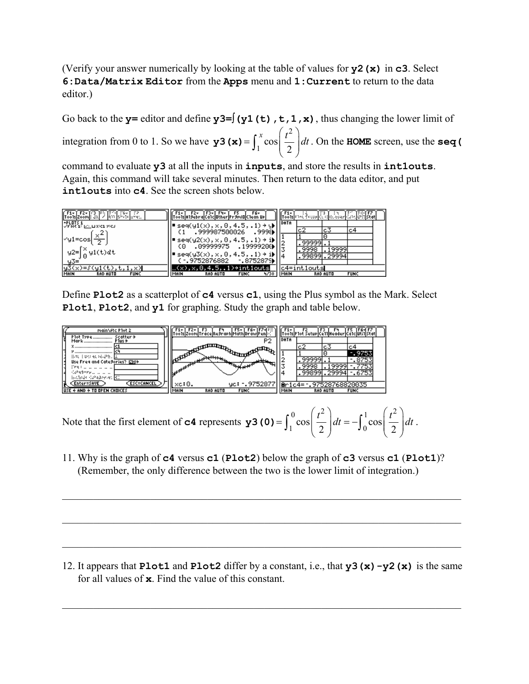(Verify your answer numerically by looking at the table of values for **y2(x)** in **c3**. Select **6:Data/Matrix Editor** from the **Apps** menu and **1:Current** to return to the data editor.)

Go back to the **y**= editor and define **y**3= $\int$  (**y**1(t), t, 1, x), thus changing the lower limit of integration from 0 to 1. So we have 2  $\int_{1}^{\infty} \cos$ 2 *y* **<sup>3</sup> (x) =**  $\int_1^x \cos\left(\frac{t^2}{2}\right) dt$ **. On the <b>HOME** screen, use the **seq (** 

command to evaluate **y3** at all the inputs in **inputs**, and store the results in **int1outs**. Again, this command will take several minutes. Then return to the data editor, and put **int1outs** into **c4**. See the screen shots below.

| Too1s Zoom : Jit <br>ASP visitor st.                                     |      | 1s A19ebra Ca1c Other Pr9m O C1ean Up                                                           | F6+                             |        |      | [oo]s **^\ f<\0> C\ \{ 0\ ^\*# CJ*\[@?}]\$ |                 |             |  |
|--------------------------------------------------------------------------|------|-------------------------------------------------------------------------------------------------|---------------------------------|--------|------|--------------------------------------------|-----------------|-------------|--|
| $-$ PLOTS 1<br>$\sqrt{Y}$ for $Y$ ( $\geq$ $\pm$ $\pm$ $X$ or $Y$ or $S$ |      | $\mathsf{seq}( \mathsf{y1}(\mathsf{x}) , \mathsf{x}, 0, 4.5, .1)$ → $\mathsf{Q}$                |                                 |        | DATA | c2                                         | cЗ              | c4          |  |
| √y1=cos                                                                  |      | .999987500026                                                                                   |                                 | .9998) |      |                                            |                 |             |  |
|                                                                          |      | ■ seq(y2(x), x, 0, 4.5, .1) → i)<br>  {0 .09999975 .19999200}                                   |                                 |        |      | 99999<br>.9998                             | . 19999         |             |  |
| $y2=\int_{0}^{x} y1(t)dt$                                                |      | $\texttt{seq}(y3(\textsf{x}), \textsf{x}, 0, 4.5, .1) \rightarrow \textbf{1}$<br>( -.9752876882 | $-0.8752879$                    |        |      |                                            | .998991.29994   |             |  |
|                                                                          |      |                                                                                                 | $4.5$ $1$ ) $\div$ int $1$ outs |        |      | ntlouts                                    |                 |             |  |
| MAIN<br><b>RAD AUTO</b><br><b>FUNC</b>                                   | MAIN | <b>RAD AUTO</b>                                                                                 | <b>FUNC</b>                     | 4/30   | MAIN |                                            | <b>RAD AUTO</b> | <b>FUNC</b> |  |

Define **Plot2** as a scatterplot of **c4** versus **c1**, using the Plus symbol as the Mark. Select **Plot1**, **Plot2**, and **y1** for graphing. Study the graph and table below.



Note that the first element of **c4** represents 0  $\left(t^2\right)$ ,  $\left(t^2\right)$  $\int_{1}^{\infty} \cos \left( \frac{t}{2} \right) dt = - \int_{0}^{\infty} \cos \left( \frac{t}{2} \right) dt$ 2 2  $=\int_{0}^{0} \cos\left(\frac{t^2}{2}\right) dt = -\int_{0}^{1} \cos\left(\frac{t^2}{2}\right) dt$ **y3 (0)** =  $\int_1^{\infty} \cos\left(\frac{t}{2}\right) dt = -\int_0^{\infty} \cos\left(\frac{t}{2}\right) dt$ .

11. Why is the graph of **c4** versus **c1** (**Plot2**) below the graph of **c3** versus **c1** (**Plot1**)? (Remember, the only difference between the two is the lower limit of integration.)

 $\_$  , and the set of the set of the set of the set of the set of the set of the set of the set of the set of the set of the set of the set of the set of the set of the set of the set of the set of the set of the set of th

 $\mathcal{L}_\mathcal{L} = \{ \mathcal{L}_\mathcal{L} = \{ \mathcal{L}_\mathcal{L} = \{ \mathcal{L}_\mathcal{L} = \{ \mathcal{L}_\mathcal{L} = \{ \mathcal{L}_\mathcal{L} = \{ \mathcal{L}_\mathcal{L} = \{ \mathcal{L}_\mathcal{L} = \{ \mathcal{L}_\mathcal{L} = \{ \mathcal{L}_\mathcal{L} = \{ \mathcal{L}_\mathcal{L} = \{ \mathcal{L}_\mathcal{L} = \{ \mathcal{L}_\mathcal{L} = \{ \mathcal{L}_\mathcal{L} = \{ \mathcal{L}_\mathcal{$ 

 $\_$  , and the set of the set of the set of the set of the set of the set of the set of the set of the set of the set of the set of the set of the set of the set of the set of the set of the set of the set of the set of th

12. It appears that **Plot1** and **Plot2** differ by a constant, i.e., that **y3(x)-y2(x)** is the same for all values of **x**. Find the value of this constant.

 $\mathcal{L}_\mathcal{L} = \mathcal{L}_\mathcal{L} = \mathcal{L}_\mathcal{L} = \mathcal{L}_\mathcal{L} = \mathcal{L}_\mathcal{L} = \mathcal{L}_\mathcal{L} = \mathcal{L}_\mathcal{L} = \mathcal{L}_\mathcal{L} = \mathcal{L}_\mathcal{L} = \mathcal{L}_\mathcal{L} = \mathcal{L}_\mathcal{L} = \mathcal{L}_\mathcal{L} = \mathcal{L}_\mathcal{L} = \mathcal{L}_\mathcal{L} = \mathcal{L}_\mathcal{L} = \mathcal{L}_\mathcal{L} = \mathcal{L}_\mathcal{L}$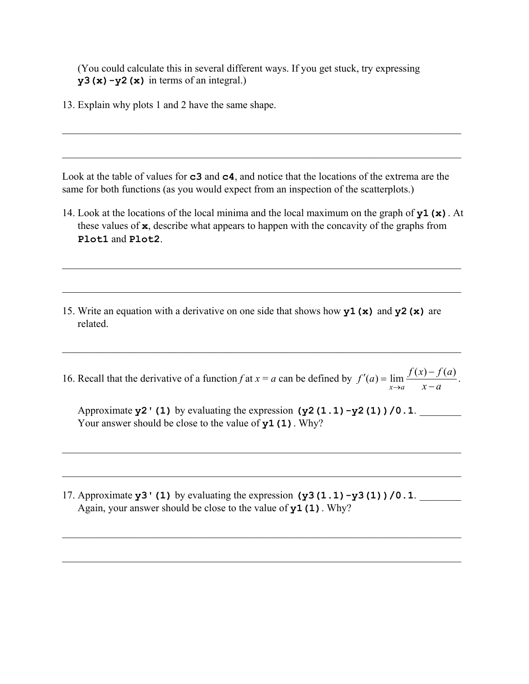(You could calculate this in several different ways. If you get stuck, try expressing  $y3(x)-y2(x)$  in terms of an integral.)

13. Explain why plots 1 and 2 have the same shape.

Look at the table of values for **c3** and **c4**, and notice that the locations of the extrema are the same for both functions (as you would expect from an inspection of the scatterplots.)

 $\_$  , and the set of the set of the set of the set of the set of the set of the set of the set of the set of the set of the set of the set of the set of the set of the set of the set of the set of the set of the set of th

 $\_$  , and the contribution of the contribution of the contribution of the contribution of  $\mathcal{L}_\mathcal{A}$ 

14. Look at the locations of the local minima and the local maximum on the graph of **y1(x)**. At these values of **x**, describe what appears to happen with the concavity of the graphs from **Plot1** and **Plot2**.

 $\mathcal{L}_\mathcal{L} = \{ \mathcal{L}_\mathcal{L} = \{ \mathcal{L}_\mathcal{L} = \{ \mathcal{L}_\mathcal{L} = \{ \mathcal{L}_\mathcal{L} = \{ \mathcal{L}_\mathcal{L} = \{ \mathcal{L}_\mathcal{L} = \{ \mathcal{L}_\mathcal{L} = \{ \mathcal{L}_\mathcal{L} = \{ \mathcal{L}_\mathcal{L} = \{ \mathcal{L}_\mathcal{L} = \{ \mathcal{L}_\mathcal{L} = \{ \mathcal{L}_\mathcal{L} = \{ \mathcal{L}_\mathcal{L} = \{ \mathcal{L}_\mathcal{$ 

 $\mathcal{L}_\mathcal{L} = \mathcal{L}_\mathcal{L} = \mathcal{L}_\mathcal{L} = \mathcal{L}_\mathcal{L} = \mathcal{L}_\mathcal{L} = \mathcal{L}_\mathcal{L} = \mathcal{L}_\mathcal{L} = \mathcal{L}_\mathcal{L} = \mathcal{L}_\mathcal{L} = \mathcal{L}_\mathcal{L} = \mathcal{L}_\mathcal{L} = \mathcal{L}_\mathcal{L} = \mathcal{L}_\mathcal{L} = \mathcal{L}_\mathcal{L} = \mathcal{L}_\mathcal{L} = \mathcal{L}_\mathcal{L} = \mathcal{L}_\mathcal{L}$ 

15. Write an equation with a derivative on one side that shows how **y1(x)** and **y2(x)** are related.

16. Recall that the derivative of a function *f* at  $x = a$  can be defined by  $f'(a) = \lim_{x \to a} \frac{f(x) - f(a)}{x - a}$  $f'(a) = \lim_{x \to a} \frac{f(x) - f(a)}{x - a}$ .

 $\_$  , and the set of the set of the set of the set of the set of the set of the set of the set of the set of the set of the set of the set of the set of the set of the set of the set of the set of the set of the set of th

Approximate  $y2'$  (1) by evaluating the expression  $(y2(1.1)-y2(1))/0.1$ . Your answer should be close to the value of **y1(1)**. Why?

 $\mathcal{L}_\mathcal{L} = \{ \mathcal{L}_\mathcal{L} = \{ \mathcal{L}_\mathcal{L} = \{ \mathcal{L}_\mathcal{L} = \{ \mathcal{L}_\mathcal{L} = \{ \mathcal{L}_\mathcal{L} = \{ \mathcal{L}_\mathcal{L} = \{ \mathcal{L}_\mathcal{L} = \{ \mathcal{L}_\mathcal{L} = \{ \mathcal{L}_\mathcal{L} = \{ \mathcal{L}_\mathcal{L} = \{ \mathcal{L}_\mathcal{L} = \{ \mathcal{L}_\mathcal{L} = \{ \mathcal{L}_\mathcal{L} = \{ \mathcal{L}_\mathcal{$ 

 $\mathcal{L}_\mathcal{L} = \{ \mathcal{L}_\mathcal{L} = \{ \mathcal{L}_\mathcal{L} = \{ \mathcal{L}_\mathcal{L} = \{ \mathcal{L}_\mathcal{L} = \{ \mathcal{L}_\mathcal{L} = \{ \mathcal{L}_\mathcal{L} = \{ \mathcal{L}_\mathcal{L} = \{ \mathcal{L}_\mathcal{L} = \{ \mathcal{L}_\mathcal{L} = \{ \mathcal{L}_\mathcal{L} = \{ \mathcal{L}_\mathcal{L} = \{ \mathcal{L}_\mathcal{L} = \{ \mathcal{L}_\mathcal{L} = \{ \mathcal{L}_\mathcal{$ 

 $\mathcal{L}_\mathcal{L} = \{ \mathcal{L}_\mathcal{L} = \{ \mathcal{L}_\mathcal{L} = \{ \mathcal{L}_\mathcal{L} = \{ \mathcal{L}_\mathcal{L} = \{ \mathcal{L}_\mathcal{L} = \{ \mathcal{L}_\mathcal{L} = \{ \mathcal{L}_\mathcal{L} = \{ \mathcal{L}_\mathcal{L} = \{ \mathcal{L}_\mathcal{L} = \{ \mathcal{L}_\mathcal{L} = \{ \mathcal{L}_\mathcal{L} = \{ \mathcal{L}_\mathcal{L} = \{ \mathcal{L}_\mathcal{L} = \{ \mathcal{L}_\mathcal{$ 

 $\mathcal{L}_\mathcal{L} = \{ \mathcal{L}_\mathcal{L} = \{ \mathcal{L}_\mathcal{L} = \{ \mathcal{L}_\mathcal{L} = \{ \mathcal{L}_\mathcal{L} = \{ \mathcal{L}_\mathcal{L} = \{ \mathcal{L}_\mathcal{L} = \{ \mathcal{L}_\mathcal{L} = \{ \mathcal{L}_\mathcal{L} = \{ \mathcal{L}_\mathcal{L} = \{ \mathcal{L}_\mathcal{L} = \{ \mathcal{L}_\mathcal{L} = \{ \mathcal{L}_\mathcal{L} = \{ \mathcal{L}_\mathcal{L} = \{ \mathcal{L}_\mathcal{$ 

17. Approximate  $y3'$  (1) by evaluating the expression  $(y3(1.1)-y3(1))/0.1$ . Again, your answer should be close to the value of **y1(1)**. Why?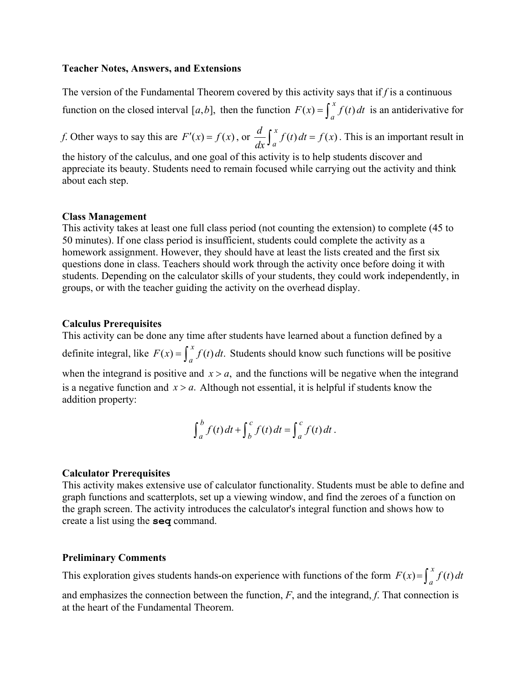#### **Teacher Notes, Answers, and Extensions**

The version of the Fundamental Theorem covered by this activity says that if *f* is a continuous function on the closed interval [a, b], then the function  $F(x) = \int_a^x f(t) dt$  is an antiderivative for

*f*. Other ways to say this are  $F'(x) = f(x)$ , or  $\frac{d}{dx} \int_{a}^{x} f(t) dt = f(x)$ . This is an important result in

the history of the calculus, and one goal of this activity is to help students discover and appreciate its beauty. Students need to remain focused while carrying out the activity and think about each step.

#### **Class Management**

This activity takes at least one full class period (not counting the extension) to complete (45 to 50 minutes). If one class period is insufficient, students could complete the activity as a homework assignment. However, they should have at least the lists created and the first six questions done in class. Teachers should work through the activity once before doing it with students. Depending on the calculator skills of your students, they could work independently, in groups, or with the teacher guiding the activity on the overhead display.

#### **Calculus Prerequisites**

This activity can be done any time after students have learned about a function defined by a definite integral, like  $F(x) = \int_{a}^{x} f(t) dt$ . Students should know such functions will be positive when the integrand is positive and  $x > a$ , and the functions will be negative when the integrand is a negative function and  $x > a$ . Although not essential, it is helpful if students know the addition property:

$$
\int_a^b f(t) dt + \int_b^c f(t) dt = \int_a^c f(t) dt.
$$

## **Calculator Prerequisites**

This activity makes extensive use of calculator functionality. Students must be able to define and graph functions and scatterplots, set up a viewing window, and find the zeroes of a function on the graph screen. The activity introduces the calculator's integral function and shows how to create a list using the **seq** command.

#### **Preliminary Comments**

This exploration gives students hands-on experience with functions of the form  $F(x) = \int_{a}^{x} f(t) dt$ 

and emphasizes the connection between the function, *F*, and the integrand, *f*. That connection is at the heart of the Fundamental Theorem.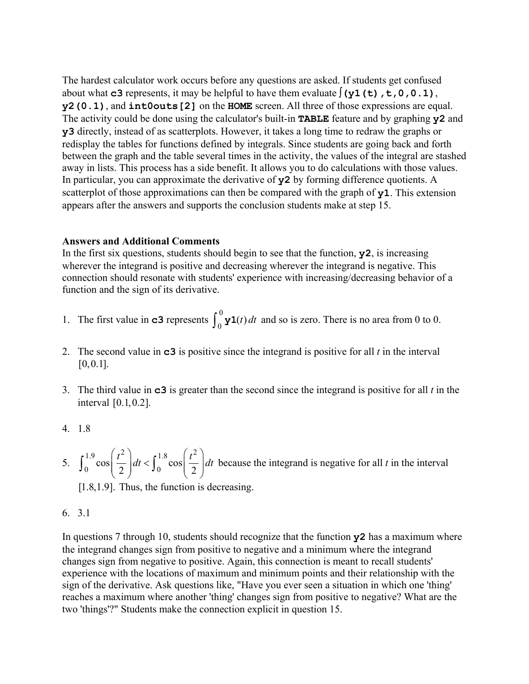The hardest calculator work occurs before any questions are asked. If students get confused about what **c3** represents, it may be helpful to have them evaluate  $\int (y1(t), t, 0, 0.1)$ , **y2(0.1)**, and **int0outs[2]** on the **HOME** screen. All three of those expressions are equal. The activity could be done using the calculator's built-in **TABLE** feature and by graphing **y2** and **y3** directly, instead of as scatterplots. However, it takes a long time to redraw the graphs or redisplay the tables for functions defined by integrals. Since students are going back and forth between the graph and the table several times in the activity, the values of the integral are stashed away in lists. This process has a side benefit. It allows you to do calculations with those values. In particular, you can approximate the derivative of **y2** by forming difference quotients. A scatterplot of those approximations can then be compared with the graph of **y1**. This extension appears after the answers and supports the conclusion students make at step 15.

## **Answers and Additional Comments**

In the first six questions, students should begin to see that the function, **y2**, is increasing wherever the integrand is positive and decreasing wherever the integrand is negative. This connection should resonate with students' experience with increasing/decreasing behavior of a function and the sign of its derivative.

- 1. The first value in **c3** represents  $\int_0^0 \mathbf{y} \mathbf{1}(t) dt$  and so is zero. There is no area from 0 to 0.
- 2. The second value in **c3** is positive since the integrand is positive for all *t* in the interval  $[0, 0.1]$ .
- 3. The third value in **c3** is greater than the second since the integrand is positive for all *t* in the interval [0.1,0.2].
- 4. 1.8
- 5. 1.9  $\left(t^2\right)$ ,  $\left(t^2\right)$ ,  $\left(t^2\right)$  $\int_0^{\infty} \cos \left( \frac{t}{2} \right) dt < \int_0^{\infty} \cos \left( \frac{t}{2} \right) dt$ 2  $\int$   $J_0$   $\int$  2  $\left(\frac{t^2}{2}\right)dt < \int_0^{1.8} \cos\left(\frac{t^2}{2}\right)dt$  $\int_0^{15} \cos \left( \frac{t}{2} \right) dt < \int_0^{15} \cos \left( \frac{t}{2} \right) dt$  because the integrand is negative for all *t* in the interval [1.8,1.9]. Thus, the function is decreasing.

```
6. 3.1
```
In questions 7 through 10, students should recognize that the function **y2** has a maximum where the integrand changes sign from positive to negative and a minimum where the integrand changes sign from negative to positive. Again, this connection is meant to recall students' experience with the locations of maximum and minimum points and their relationship with the sign of the derivative. Ask questions like, "Have you ever seen a situation in which one 'thing' reaches a maximum where another 'thing' changes sign from positive to negative? What are the two 'things'?" Students make the connection explicit in question 15.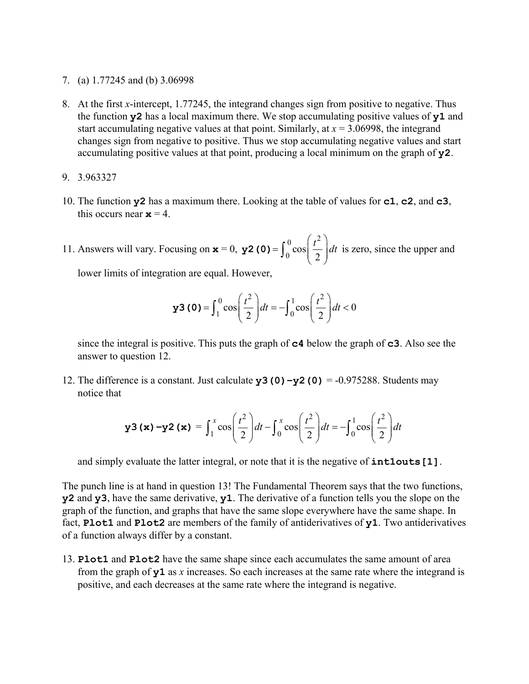7. (a) 1.77245 and (b) 3.06998

- 8. At the first *x*-intercept, 1.77245, the integrand changes sign from positive to negative. Thus the function **y2** has a local maximum there. We stop accumulating positive values of **y1** and start accumulating negative values at that point. Similarly, at  $x = 3.06998$ , the integrand changes sign from negative to positive. Thus we stop accumulating negative values and start accumulating positive values at that point, producing a local minimum on the graph of **y2**.
- 9. 3.963327
- 10. The function **y2** has a maximum there. Looking at the table of values for **c1**, **c2**, and **c3**, this occurs near  $x = 4$ .
- 11. Answers will vary. Focusing on  $x = 0$ , 0  $\left(t^2\right)$  $\int_0^\infty \cos \theta$ 2 *y***2 (0)** =  $\int_0^0 \cos\left(\frac{t^2}{2}\right) dt$  is zero, since the upper and

lower limits of integration are equal. However,

$$
\mathbf{y3(0)} = \int_1^0 \cos\left(\frac{t^2}{2}\right) dt = -\int_0^1 \cos\left(\frac{t^2}{2}\right) dt < 0
$$

 since the integral is positive. This puts the graph of **c4** below the graph of **c3**. Also see the answer to question 12.

12. The difference is a constant. Just calculate  $y3(0) - y2(0) = -0.975288$ . Students may notice that

$$
\mathbf{y3} \left( \mathbf{x} \right) - \mathbf{y2} \left( \mathbf{x} \right) = \int_1^x \cos\left(\frac{t^2}{2}\right) dt - \int_0^x \cos\left(\frac{t^2}{2}\right) dt = -\int_0^1 \cos\left(\frac{t^2}{2}\right) dt
$$

and simply evaluate the latter integral, or note that it is the negative of **int1outs[1]**.

The punch line is at hand in question 13! The Fundamental Theorem says that the two functions, **y2** and **y3**, have the same derivative, **y1**. The derivative of a function tells you the slope on the graph of the function, and graphs that have the same slope everywhere have the same shape. In fact, **Plot1** and **Plot2** are members of the family of antiderivatives of **y1**. Two antiderivatives of a function always differ by a constant.

13. **Plot1** and **Plot2** have the same shape since each accumulates the same amount of area from the graph of **y1** as *x* increases. So each increases at the same rate where the integrand is positive, and each decreases at the same rate where the integrand is negative.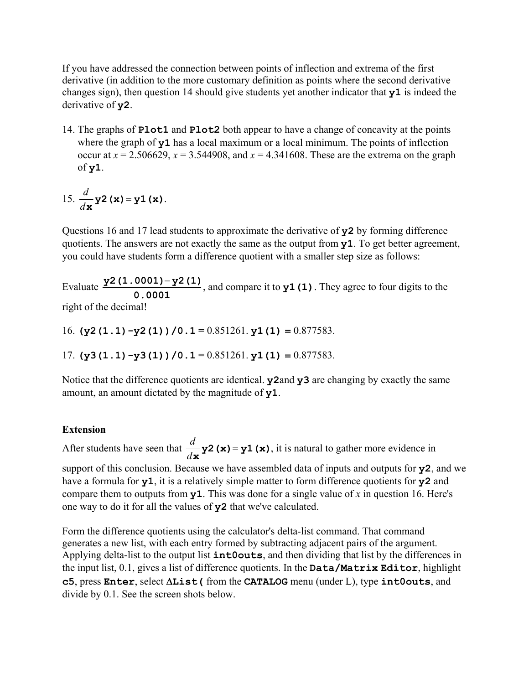If you have addressed the connection between points of inflection and extrema of the first derivative (in addition to the more customary definition as points where the second derivative changes sign), then question 14 should give students yet another indicator that **y1** is indeed the derivative of **y2**.

14. The graphs of **Plot1** and **Plot2** both appear to have a change of concavity at the points where the graph of **y1** has a local maximum or a local minimum. The points of inflection occur at  $x = 2.506629$ ,  $x = 3.544908$ , and  $x = 4.341608$ . These are the extrema on the graph of **y1**.

15. 
$$
\frac{d}{d\mathbf{x}}\mathbf{y2}(\mathbf{x}) = \mathbf{y1}(\mathbf{x}).
$$

Questions 16 and 17 lead students to approximate the derivative of **y2** by forming difference quotients. The answers are not exactly the same as the output from **y1**. To get better agreement, you could have students form a difference quotient with a smaller step size as follows:

Evaluate  $\frac{y^2(1.0001) - y^2(1)}{0.0001}$ , and compare it to  $y1(1)$ . They agree to four digits to the right of the decimal!

16. **(y2(1.1)-y2(1))/0.1 =** 0.851261. **y1(1)** = 0.877583.

17. **(y3(1.1)-y3(1))/0.1 =** 0.851261. **y1(1)** = 0.877583.

Notice that the difference quotients are identical. **y2**and **y3** are changing by exactly the same amount, an amount dictated by the magnitude of **y1**.

## **Extension**

After students have seen that  $\frac{d}{d\mathbf{x}}\mathbf{y2}(\mathbf{x}) = \mathbf{y1}(\mathbf{x})$ , it is natural to gather more evidence in support of this conclusion. Because we have assembled data of inputs and outputs for **y2**, and we have a formula for **y1**, it is a relatively simple matter to form difference quotients for **y2** and compare them to outputs from **y1**. This was done for a single value of *x* in question 16. Here's one way to do it for all the values of **y2** that we've calculated.

Form the difference quotients using the calculator's delta-list command. That command generates a new list, with each entry formed by subtracting adjacent pairs of the argument. Applying delta-list to the output list **int0outs**, and then dividing that list by the differences in the input list, 0.1, gives a list of difference quotients. In the **Data/Matrix Editor**, highlight **c5**, press **Enter**, select ∆**List(** from the **CATALOG** menu (under L), type **int0outs**, and divide by 0.1. See the screen shots below.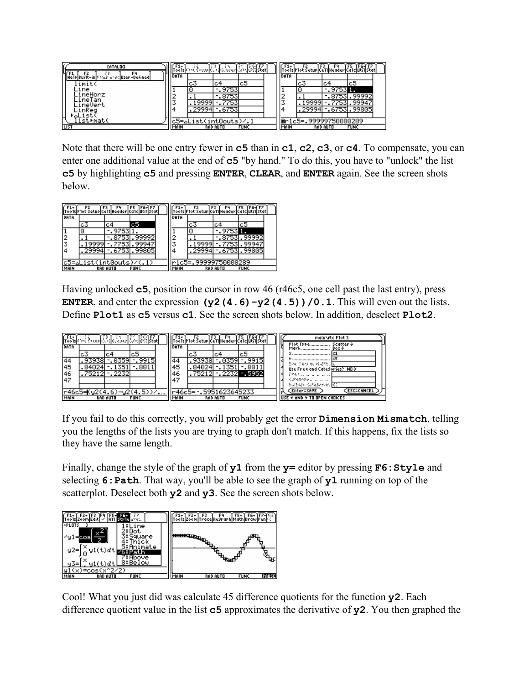| <b>CATALOG</b>                         |        | Too1s Phot fotop dtid dtidoen dube @13 Stat |                 |             |  |      |                       |                 | Too1s P1ot Setup Ce11 Header Ca1c Uti1 Stat |  |
|----------------------------------------|--------|---------------------------------------------|-----------------|-------------|--|------|-----------------------|-----------------|---------------------------------------------|--|
| HelplBuilt-in Shack at p: User-Defined | DATA   |                                             |                 |             |  | DATA |                       |                 |                                             |  |
| .mit                                   |        | с3                                          | c4              | c5          |  |      | с3                    | c.              | c5                                          |  |
| ine                                    |        |                                             | 9753            |             |  |      |                       | 97531           |                                             |  |
| neHorz                                 | 2<br>∸ |                                             | 8753            |             |  |      |                       | 87531           | 99992                                       |  |
| neTan<br>.neVert                       | 3      | .9999                                       | 7753            |             |  |      | .9999                 |                 | 9994                                        |  |
| nReg                                   | 4      | .29994                                      | 6753.           |             |  |      | .29994                |                 | .6753.99805                                 |  |
|                                        |        |                                             |                 |             |  |      |                       |                 |                                             |  |
| list⊧mat(                              |        | .ء                                          |                 |             |  |      | @r1c5=.99999750000289 |                 |                                             |  |
| LIST                                   | MAIN   |                                             | <b>RAD AUTO</b> | <b>FUNC</b> |  | MAIN |                       | <b>RAD AUTO</b> | <b>FUNC</b>                                 |  |

Note that there will be one entry fewer in **c5** than in **c1**, **c2**, **c3**, or **c4**. To compensate, you can enter one additional value at the end of **c5** "by hand." To do this, you have to "unlock" the list **c5** by highlighting **c5** and pressing **ENTER**, **CLEAR**, and **ENTER** again. See the screen shots below.

|      | Too1s P1ot Setup Ce11 Header Ca1c Uti1 Stat |                 |                   |      | róðis P1ot Šetup Ce11 Header Ca1c Úti |          |                   |  |
|------|---------------------------------------------|-----------------|-------------------|------|---------------------------------------|----------|-------------------|--|
| DATA |                                             |                 |                   | DATA |                                       |          |                   |  |
|      | c3                                          | c4              | с5                |      | c3                                    | c4       | c5                |  |
|      |                                             | .9753           |                   |      |                                       | .9753    |                   |  |
|      |                                             | . 87531         | 99992             |      |                                       |          | .87531.99992      |  |
|      | 19999                                       | . 77531         | 99947             |      | 19999                                 | .7753    | 1.99947           |  |
|      | 29994                                       |                 | $-0.6753$ . 99805 |      | 29994                                 |          | $-0.6753$ , 99805 |  |
|      |                                             |                 |                   |      |                                       |          |                   |  |
|      | c5=⊿List(int0outs)⁄(.1)                     |                 |                   |      | c5=.99999750000289                    |          |                   |  |
| MAIN |                                             | <b>RAD AUTO</b> | <b>FUNC</b>       | MAIN |                                       | RAD AUTO | <b>FUNC</b>       |  |

Having unlocked **c5**, position the cursor in row 46 (r46c5, one cell past the last entry), press **ENTER**, and enter the expression  $(y2(4.6)-y2(4.5))$  / 0.1. This will even out the lists. Define **Plot1** as **c5** versus **c1**. See the screen shots below. In addition, deselect **Plot2**.

|      |                            |                 | $\begin{bmatrix} 1 \\ 1 \end{bmatrix} \begin{bmatrix} 1 \\ 2 \end{bmatrix} \begin{bmatrix} 1 \\ 2 \end{bmatrix} \begin{bmatrix} 1 \\ 2 \end{bmatrix} \begin{bmatrix} 1 \\ 2 \end{bmatrix} \begin{bmatrix} 1 \\ 2 \end{bmatrix} \begin{bmatrix} 1 \\ 2 \end{bmatrix} \begin{bmatrix} 1 \\ 2 \end{bmatrix} \begin{bmatrix} 1 \\ 2 \end{bmatrix} \begin{bmatrix} 1 \\ 2 \end{bmatrix} \begin{bmatrix} 1 \\ 2 \end{bmatrix} \begin{bmatrix} 1 \\ 2 \end{bmatrix} \begin{bmatrix} 1 \\ 2 \end{bmatrix$ |  |      | TooTslP1ot Setuplce11lHeaderIca1clUti1lstat |                 |                |  |  | mainNftc Plot 3                                                       |
|------|----------------------------|-----------------|---------------------------------------------------------------------------------------------------------------------------------------------------------------------------------------------------------------------------------------------------------------------------------------------------------------------------------------------------------------------------------------------------------------------------------------------------------------------------------------------------|--|------|---------------------------------------------|-----------------|----------------|--|--|-----------------------------------------------------------------------|
| DATA |                            |                 |                                                                                                                                                                                                                                                                                                                                                                                                                                                                                                   |  | DATA |                                             |                 |                |  |  | Plot Type<br>Scatter <del>)</del><br>Mark<br><b>Box 9</b>             |
|      | cЗ                         | c4              | c5                                                                                                                                                                                                                                                                                                                                                                                                                                                                                                |  |      | cЗ                                          | c4              | c5             |  |  | *  IC1                                                                |
| 144  | 939381                     | 0359            | 9915)                                                                                                                                                                                                                                                                                                                                                                                                                                                                                             |  | 44   | 939381                                      | .0359           | 9915           |  |  | `                                                                     |
| 45   | 84024                      | 13511           | $-8811$                                                                                                                                                                                                                                                                                                                                                                                                                                                                                           |  | 45   | 84024                                       | .1351           | $-0.8811$      |  |  | 1840 1960 et (6.2%). <mark>I</mark> X<br>Use Freq and CateSories? NO+ |
| 46   | .75212                     | $-2232$         |                                                                                                                                                                                                                                                                                                                                                                                                                                                                                                   |  | 46   | . 752121                                    |                 | $-2232 - 5952$ |  |  | President and a                                                       |
| 147  |                            |                 |                                                                                                                                                                                                                                                                                                                                                                                                                                                                                                   |  | 147  |                                             |                 |                |  |  | Conservation of the                                                   |
|      |                            |                 |                                                                                                                                                                                                                                                                                                                                                                                                                                                                                                   |  |      |                                             |                 |                |  |  | Battels Cohespacet R                                                  |
|      | r46c5=Ku2(4.6)−u2(4.5))∠.… |                 |                                                                                                                                                                                                                                                                                                                                                                                                                                                                                                   |  |      | r46c5=1.5951623645233                       |                 |                |  |  | <b>CESC=CANCEL</b><br>Enter=SAVE                                      |
| MAIN |                            | <b>RAD AUTO</b> | <b>FUNC</b>                                                                                                                                                                                                                                                                                                                                                                                                                                                                                       |  | MAIN |                                             | <b>RAD AUTO</b> | <b>FUNC</b>    |  |  | USE $\leftrightarrow$ AND $\leftrightarrow$ TO OPEN CHOICES.          |

If you fail to do this correctly, you will probably get the error **Dimension Mismatch**, telling you the lengths of the lists you are trying to graph don't match. If this happens, fix the lists so they have the same length.

Finally, change the style of the graph of **y1** from the **y=** editor by pressing **F6:Style** and selecting **6:Path**. That way, you'll be able to see the graph of **y1** running on top of the scatterplot. Deselect both **y2** and **y3**. See the screen shots below.



Cool! What you just did was calculate 45 difference quotients for the function **y2**. Each difference quotient value in the list **c5** approximates the derivative of **y2**. You then graphed the